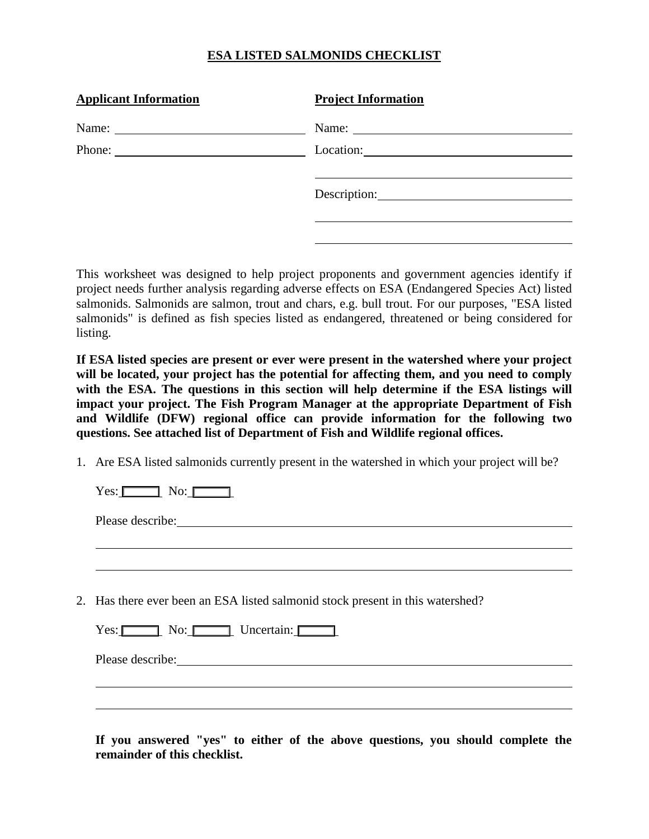## **ESA LISTED SALMONIDS CHECKLIST**

| <b>Applicant Information</b> | <b>Project Information</b>                                                                                                                                                                                                                                                                                                                                                                                    |
|------------------------------|---------------------------------------------------------------------------------------------------------------------------------------------------------------------------------------------------------------------------------------------------------------------------------------------------------------------------------------------------------------------------------------------------------------|
|                              | Name: $\frac{1}{\sqrt{1-\frac{1}{2}}\sqrt{1-\frac{1}{2}}\sqrt{1-\frac{1}{2}}\sqrt{1-\frac{1}{2}}\sqrt{1-\frac{1}{2}}\sqrt{1-\frac{1}{2}}\sqrt{1-\frac{1}{2}}\sqrt{1-\frac{1}{2}}\sqrt{1-\frac{1}{2}}\sqrt{1-\frac{1}{2}}\sqrt{1-\frac{1}{2}}\sqrt{1-\frac{1}{2}}\sqrt{1-\frac{1}{2}}\sqrt{1-\frac{1}{2}}\sqrt{1-\frac{1}{2}}\sqrt{1-\frac{1}{2}}\sqrt{1-\frac{1}{2}}\sqrt{1-\frac{1}{2}}\sqrt{1-\frac{1}{2}}$ |
|                              |                                                                                                                                                                                                                                                                                                                                                                                                               |
|                              |                                                                                                                                                                                                                                                                                                                                                                                                               |
|                              |                                                                                                                                                                                                                                                                                                                                                                                                               |
|                              |                                                                                                                                                                                                                                                                                                                                                                                                               |
|                              |                                                                                                                                                                                                                                                                                                                                                                                                               |

This worksheet was designed to help project proponents and government agencies identify if project needs further analysis regarding adverse effects on ESA (Endangered Species Act) listed salmonids. Salmonids are salmon, trout and chars, e.g. bull trout. For our purposes, "ESA listed salmonids" is defined as fish species listed as endangered, threatened or being considered for listing.

**If ESA listed species are present or ever were present in the watershed where your project will be located, your project has the potential for affecting them, and you need to comply**  with the ESA. The questions in this section will help determine if the ESA listings will **impact your project. The Fish Program Manager at the appropriate Department of Fish and Wildlife (DFW) regional office can provide information for the following two questions. See attached list of Department of Fish and Wildlife regional offices.** 

1. Are ESA listed salmonids currently present in the watershed in which your project will be?

 $Yes: \Box$  No:  $\Box$ 

Please describe:

 $\overline{a}$ 

 $\overline{a}$ 

 $\overline{a}$ 

2. Has there ever been an ESA listed salmonid stock present in this watershed?

| Yes: | No: | Uncertain: |  |
|------|-----|------------|--|
|------|-----|------------|--|

Please describe:

**If you answered "yes" to either of the above questions, you should complete the remainder of this checklist.**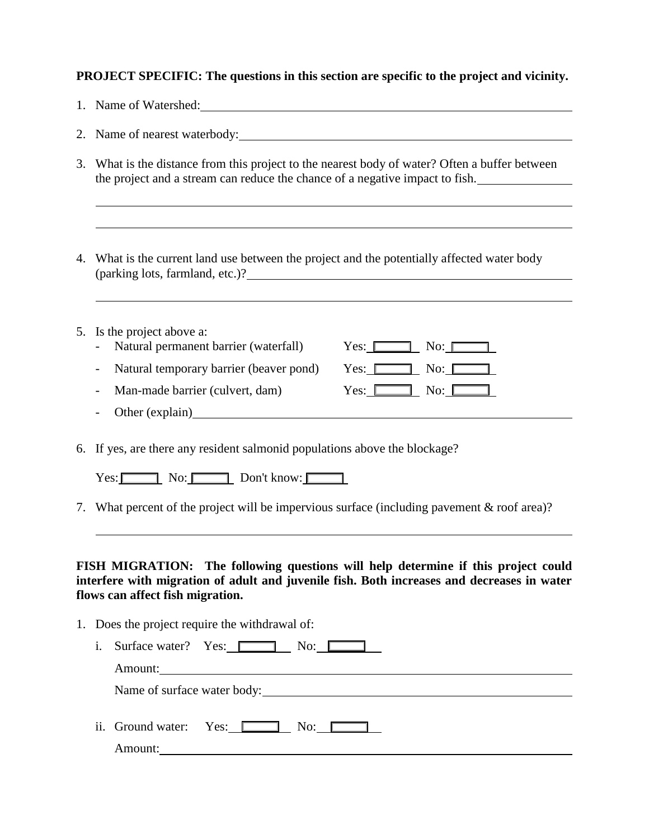## **PROJECT SPECIFIC: The questions in this section are specific to the project and vicinity.**

|  |  | Name of Watershed: |
|--|--|--------------------|
|--|--|--------------------|

2. Name of nearest waterbody:

- 3. What is the distance from this project to the nearest body of water? Often a buffer between the project and a stream can reduce the chance of a negative impact to fish.
- 4. What is the current land use between the project and the potentially affected water body (parking lots, farmland, etc.)?

| 5. Is the project above a:                |                                      |
|-------------------------------------------|--------------------------------------|
| Natural permanent barrier (waterfall)     | No: $\mathbb{I}$<br>Yes: I           |
| - Natural temporary barrier (beaver pond) | No: $\Box$<br>Yes: [                 |
| Man-made barrier (culvert, dam)           | $\text{No:}\_\_\_\_\$<br>Yes: $\Box$ |
| - Other (explain)                         |                                      |
|                                           |                                      |

6. If yes, are there any resident salmonid populations above the blockage?

 $Yes: \Box$  No:  $\Box$  Don't know:  $\Box$ 

7. What percent of the project will be impervious surface (including pavement & roof area)?

**FISH MIGRATION: The following questions will help determine if this project could interfere with migration of adult and juvenile fish. Both increases and decreases in water flows can affect fish migration.** 

1. Does the project require the withdrawal of: i. Surface water? Yes:  $\Box$  No:  $\Box$ Amount:

Name of surface water body:<br>
<u>Name of surface water body:</u>

ii. Ground water: Yes: No: No:

Amount: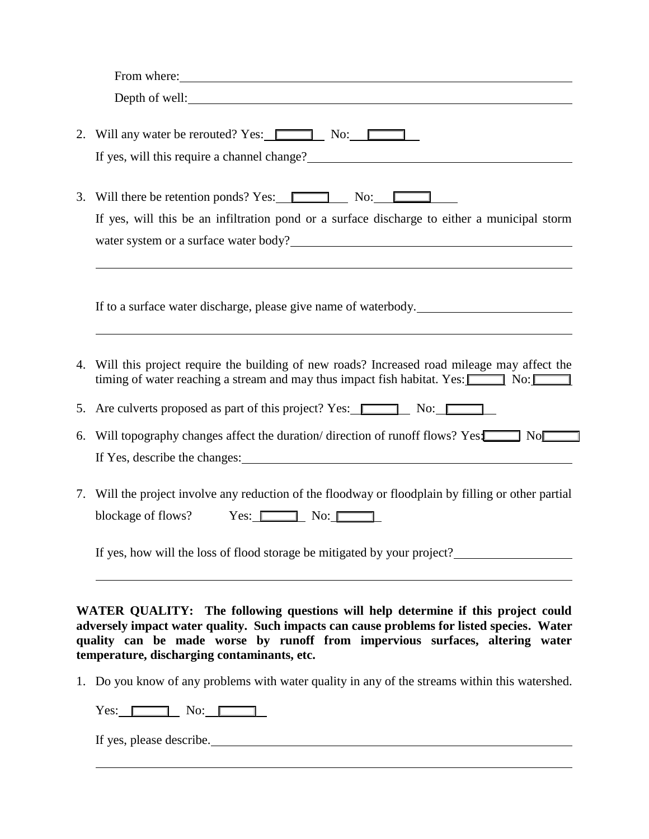|    | From where: <u>contained</u> and the contained and the contained and the contained and the contained and the contained and the contained and the contained and the contained and contained and contained and contained and containe   |
|----|---------------------------------------------------------------------------------------------------------------------------------------------------------------------------------------------------------------------------------------|
|    | Depth of well:                                                                                                                                                                                                                        |
|    | 2. Will any water be rerouted? Yes: No: No:                                                                                                                                                                                           |
|    | If yes, will this require a channel change?<br><u>Letting</u> the state of the state of the state of the state of the state of the state of the state of the state of the state of the state of the state of the state of the state o |
|    | 3. Will there be retention ponds? Yes: $\boxed{\phantom{a}}$ No: $\boxed{\phantom{a}}$                                                                                                                                                |
|    | If yes, will this be an infiltration pond or a surface discharge to either a municipal storm                                                                                                                                          |
|    | water system or a surface water body?<br><u>Letting and the contract of the system</u> or a surface water body?                                                                                                                       |
|    | If to a surface water discharge, please give name of waterbody.                                                                                                                                                                       |
| 4. | Will this project require the building of new roads? Increased road mileage may affect the<br>timing of water reaching a stream and may thus impact fish habitat. Yes: $\boxed{\phantom{1}}$ No: $\boxed{\phantom{1}}$                |
|    | 5. Are culverts proposed as part of this project? Yes: No: No:                                                                                                                                                                        |
| 6. | Will topography changes affect the duration/direction of runoff flows? Yes:<br>No                                                                                                                                                     |
|    | If Yes, describe the changes: 1983.                                                                                                                                                                                                   |
|    | 7. Will the project involve any reduction of the floodway or floodplain by filling or other partial                                                                                                                                   |
|    | blockage of flows? Yes: No:                                                                                                                                                                                                           |
|    | If yes, how will the loss of flood storage be mitigated by your project?                                                                                                                                                              |

1. Do you know of any problems with water quality in any of the streams within this watershed.

 $Yes: \Box \Box$  No:  $\Box$ 

**temperature, discharging contaminants, etc.** 

If yes, please describe.

 $\overline{a}$